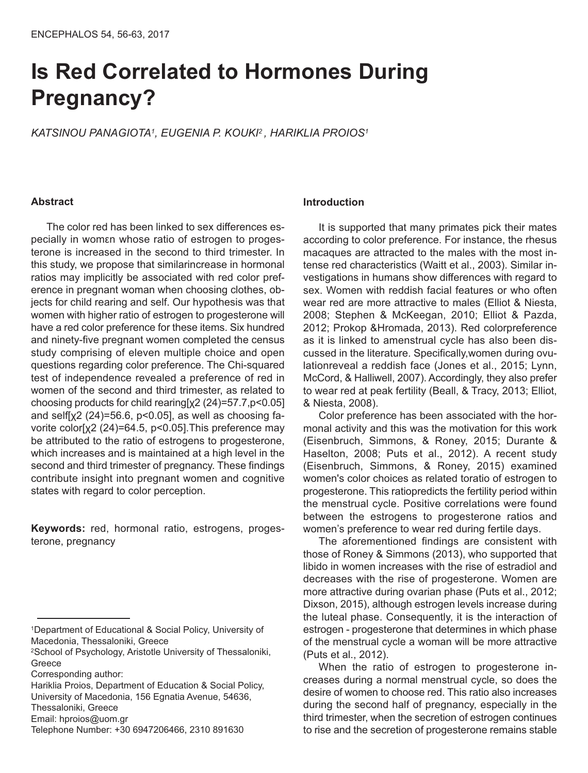# **Is Red Correlated to Hormones During Pregnancy?**

*KATSINOU PANAGIOTA1, EUGENIA P. KOUKI <sup>2</sup> , HARIKLIA PROIOS1*

#### **Abstract**

The color red has been linked to sex differences especially in womεn whose ratio of estrogen to progesterone is increased in the second to third trimester. In this study, we propose that similarincrease in hormonal ratios may implicitly be associated with red color preference in pregnant woman when choosing clothes, objects for child rearing and self. Our hypothesis was that women with higher ratio of estrogen to progesterone will have a red color preference for these items. Six hundred and ninety-five pregnant women completed the census study comprising of eleven multiple choice and open questions regarding color preference. The Chi-squared test of independence revealed a preference of red in women of the second and third trimester, as related to choosing products for child rearing[χ2 (24)=57.7,p<0.05] and self[ $\chi$ 2 (24)=56.6, p<0.05], as well as choosing favorite color[χ2 (24)=64.5, p<0.05].This preference may be attributed to the ratio of estrogens to progesterone, which increases and is maintained at a high level in the second and third trimester of pregnancy. These findings contribute insight into pregnant women and cognitive states with regard to color perception.

**Keywords:** red, hormonal ratio, estrogens, progesterone, pregnancy

Hariklia Proios, Department of Education & Social Policy, University of Macedonia, 156 Egnatia Avenue, 54636,

#### **Introduction**

It is supported that many primates pick their mates according to color preference. For instance, the rhesus macaques are attracted to the males with the most intense red characteristics (Waitt et al., 2003). Similar investigations in humans show differences with regard to sex. Women with reddish facial features or who often wear red are more attractive to males (Elliot & Niesta, 2008; Stephen & McKeegan, 2010; Elliot & Pazda, 2012; Prokop &Hromada, 2013). Red colorpreference as it is linked to amenstrual cycle has also been discussed in the literature. Specifically,women during ovulationreveal a reddish face (Jones et al., 2015; Lynn, McCord, & Halliwell, 2007). Accordingly, they also prefer to wear red at peak fertility (Beall, & Tracy, 2013; Elliot, & Niesta, 2008).

Color preference has been associated with the hormonal activity and this was the motivation for this work (Eisenbruch, Simmons, & Roney, 2015; Durante & Haselton, 2008; Puts et al., 2012). A recent study (Eisenbruch, Simmons, & Roney, 2015) examined women's color choices as related toratio of estrogen to progesterone. This ratiopredicts the fertility period within the menstrual cycle. Positive correlations were found between the estrogens to progesterone ratios and women's preference to wear red during fertile days.

The aforementioned findings are consistent with those of Roney & Simmons (2013), who supported that libido in women increases with the rise of estradiol and decreases with the rise of progesterone. Women are more attractive during ovarian phase (Puts et al., 2012; Dixson, 2015), although estrogen levels increase during the luteal phase. Consequently, it is the interaction of estrogen - progesterone that determines in which phase of the menstrual cycle a woman will be more attractive (Puts et al., 2012).

When the ratio of estrogen to progesterone increases during a normal menstrual cycle, so does the desire of women to choose red. This ratio also increases during the second half of pregnancy, especially in the third trimester, when the secretion of estrogen continues to rise and the secretion of progesterone remains stable

<sup>1</sup>Department of Educational & Social Policy, University of Macedonia, Thessaloniki, Greece

<sup>2</sup>School of Psychology, Aristotle University of Thessaloniki, Greece

Corresponding author:

Thessaloniki, Greece

Email: hproios@uom.gr

Telephone Number: +30 6947206466, 2310 891630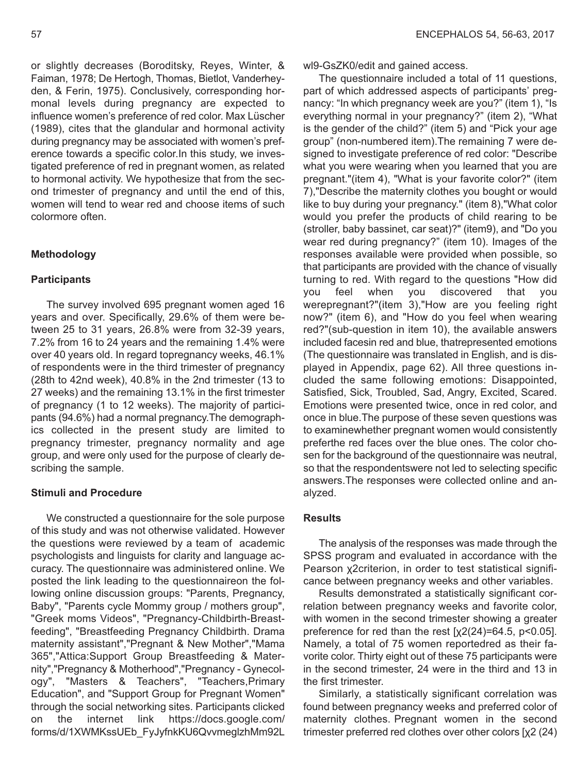or slightly decreases (Boroditsky, Reyes, Winter, & Faiman, 1978; De Hertogh, Thomas, Bietlot, Vanderheyden, & Ferin, 1975). Conclusively, corresponding hormonal levels during pregnancy are expected to influence women's preference of red color. Max Lüscher (1989), cites that the glandular and hormonal activity during pregnancy may be associated with women's preference towards a specific color.In this study, we investigated preference of red in pregnant women, as related to hormonal activity. We hypothesize that from the second trimester of pregnancy and until the end of this, women will tend to wear red and choose items of such colormore often.

#### **Methodology**

## **Participants**

The survey involved 695 pregnant women aged 16 years and over. Specifically, 29.6% of them were between 25 to 31 years, 26.8% were from 32-39 years, 7.2% from 16 to 24 years and the remaining 1.4% were over 40 years old. In regard topregnancy weeks, 46.1% of respondents were in the third trimester of pregnancy (28th to 42nd week), 40.8% in the 2nd trimester (13 to 27 weeks) and the remaining 13.1% in the first trimester of pregnancy (1 to 12 weeks). The majority of participants (94.6%) had a normal pregnancy.The demographics collected in the present study are limited to pregnancy trimester, pregnancy normality and age group, and were only used for the purpose of clearly describing the sample.

## **Stimuli and Procedure**

We constructed a questionnaire for the sole purpose of this study and was not otherwise validated. However the questions were reviewed by a team of academic psychologists and linguists for clarity and language accuracy. The questionnaire was administered online. We posted the link leading to the questionnaireon the following online discussion groups: "Parents, Pregnancy, Baby", "Parents cycle Mommy group / mothers group", "Greek moms Videos", "Pregnancy-Childbirth-Breastfeeding", "Breastfeeding Pregnancy Childbirth. Drama maternity assistant","Pregnant & New Mother","Mama 365","Attica:Support Group Breastfeeding & Maternity","Pregnancy & Motherhood","Pregnancy - Gynecology", "Masters & Teachers", "Teachers,Primary Education", and "Support Group for Pregnant Women" through the social networking sites. Participants clicked on the internet link https://docs.google.com/ forms/d/1XWMKssUEb\_FyJyfnkKU6QvvmeglzhMm92L

wl9-GsZK0/edit and gained access.

The questionnaire included a total of 11 questions, part of which addressed aspects of participants' pregnancy: "In which pregnancy week are you?" (item 1), "Is everything normal in your pregnancy?" (item 2), "What is the gender of the child?" (item 5) and "Pick your age group" (non-numbered item).The remaining 7 were designed to investigate preference of red color: "Describe what you were wearing when you learned that you are pregnant."(item 4), "What is your favorite color?" (item 7),"Describe the maternity clothes you bought or would like to buy during your pregnancy." (item 8),"What color would you prefer the products of child rearing to be (stroller, baby bassinet, car seat)?" (item9), and "Do you wear red during pregnancy?" (item 10). Images of the responses available were provided when possible, so that participants are provided with the chance of visually turning to red. With regard to the questions "How did you feel when you discovered that you werepregnant?"(item 3),"How are you feeling right now?" (item 6), and "How do you feel when wearing red?"(sub-question in item 10), the available answers included facesin red and blue, thatrepresented emotions (The questionnaire was translated in English, and is displayed in Appendix, page 62). All three questions included the same following emotions: Disappointed, Satisfied, Sick, Troubled, Sad, Angry, Excited, Scared. Emotions were presented twice, once in red color, and once in blue.The purpose of these seven questions was to examinewhether pregnant women would consistently preferthe red faces over the blue ones. The color chosen for the background of the questionnaire was neutral, so that the respondentswere not led to selecting specific answers.The responses were collected online and analyzed.

#### **Results**

The analysis of the responses was made through the SPSS program and evaluated in accordance with the Pearson χ2criterion, in order to test statistical significance between pregnancy weeks and other variables.

Results demonstrated a statistically significant correlation between pregnancy weeks and favorite color, with women in the second trimester showing a greater preference for red than the rest  $[x2(24)=64.5, p<0.05]$ . Namely, a total of 75 women reportedred as their favorite color. Thirty eight out of these 75 participants were in the second trimester, 24 were in the third and 13 in the first trimester.

Similarly, a statistically significant correlation was found between pregnancy weeks and preferred color of maternity clothes. Pregnant women in the second trimester preferred red clothes over other colors [χ2 (24)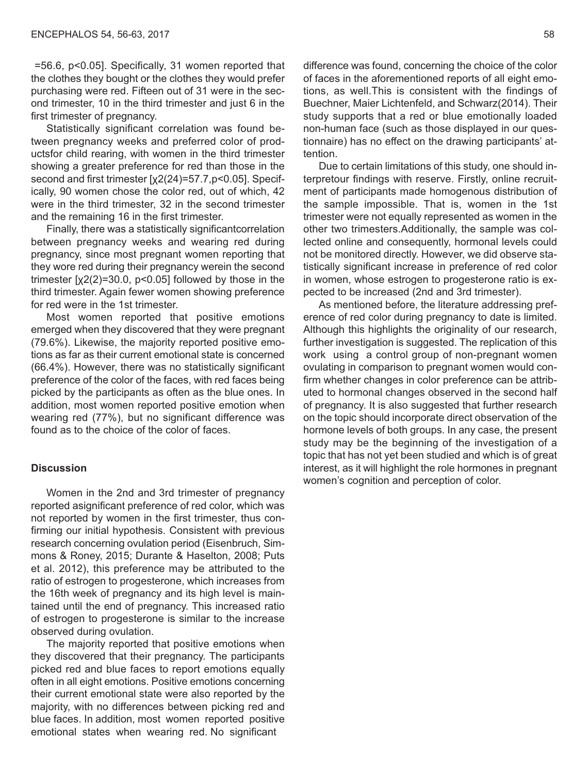=56.6, p<0.05]. Specifically, 31 women reported that the clothes they bought or the clothes they would prefer purchasing were red. Fifteen out of 31 were in the second trimester, 10 in the third trimester and just 6 in the first trimester of pregnancy.

Statistically significant correlation was found between pregnancy weeks and preferred color of productsfor child rearing, with women in the third trimester showing a greater preference for red than those in the second and first trimester [χ2(24)=57.7,p<0.05]. Specifically, 90 women chose the color red, out of which, 42 were in the third trimester, 32 in the second trimester and the remaining 16 in the first trimester.

Finally, there was a statistically significantcorrelation between pregnancy weeks and wearing red during pregnancy, since most pregnant women reporting that they wore red during their pregnancy werein the second trimester  $[x2(2)=30.0, p<0.05]$  followed by those in the third trimester. Again fewer women showing preference for red were in the 1st trimester.

Most women reported that positive emotions emerged when they discovered that they were pregnant (79.6%). Likewise, the majority reported positive emotions as far as their current emotional state is concerned (66.4%). However, there was no statistically significant preference of the color of the faces, with red faces being picked by the participants as often as the blue ones. In addition, most women reported positive emotion when wearing red (77%), but no significant difference was found as to the choice of the color of faces.

#### **Discussion**

Women in the 2nd and 3rd trimester of pregnancy reported asignificant preference of red color, which was not reported by women in the first trimester, thus confirming our initial hypothesis. Consistent with previous research concerning ovulation period (Eisenbruch, Simmons & Roney, 2015; Durante & Haselton, 2008; Puts et al. 2012), this preference may be attributed to the ratio of estrogen to progesterone, which increases from the 16th week of pregnancy and its high level is maintained until the end of pregnancy. This increased ratio of estrogen to progesterone is similar to the increase observed during ovulation.

The majority reported that positive emotions when they discovered that their pregnancy. The participants picked red and blue faces to report emotions equally often in all eight emotions. Positive emotions concerning their current emotional state were also reported by the majority, with no differences between picking red and blue faces. In addition, most women reported positive emotional states when wearing red. No significant

difference was found, concerning the choice of the color of faces in the aforementioned reports of all eight emotions, as well.This is consistent with the findings of Buechner, Maier Lichtenfeld, and Schwarz(2014). Their study supports that a red or blue emotionally loaded non-human face (such as those displayed in our questionnaire) has no effect on the drawing participants' attention.

Due to certain limitations of this study, one should interpretour findings with reserve. Firstly, online recruitment of participants made homogenous distribution of the sample impossible. That is, women in the 1st trimester were not equally represented as women in the other two trimesters.Additionally, the sample was collected online and consequently, hormonal levels could not be monitored directly. However, we did observe statistically significant increase in preference of red color in women, whose estrogen to progesterone ratio is expected to be increased (2nd and 3rd trimester).

As mentioned before, the literature addressing preference of red color during pregnancy to date is limited. Although this highlights the originality of our research, further investigation is suggested. The replication of this work using a control group of non-pregnant women ovulating in comparison to pregnant women would confirm whether changes in color preference can be attributed to hormonal changes observed in the second half of pregnancy. It is also suggested that further research on the topic should incorporate direct observation of the hormone levels of both groups. In any case, the present study may be the beginning of the investigation of a topic that has not yet been studied and which is of great interest, as it will highlight the role hormones in pregnant women's cognition and perception of color.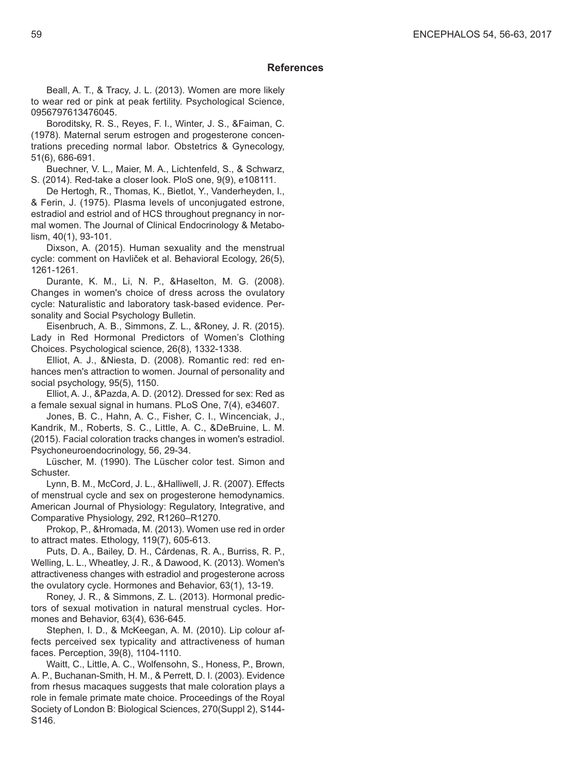#### **References**

Beall, A. T., & Tracy, J. L. (2013). Women are more likely to wear red or pink at peak fertility. Psychological Science, 0956797613476045.

Boroditsky, R. S., Reyes, F. I., Winter, J. S., &Faiman, C. (1978). Maternal serum estrogen and progesterone concentrations preceding normal labor. Obstetrics & Gynecology, 51(6), 686-691.

Buechner, V. L., Maier, M. A., Lichtenfeld, S., & Schwarz, S. (2014). Red-take a closer look. PloS one, 9(9), e108111.

De Hertogh, R., Thomas, K., Bietlot, Y., Vanderheyden, I., & Ferin, J. (1975). Plasma levels of unconjugated estrone, estradiol and estriol and of HCS throughout pregnancy in normal women. The Journal of Clinical Endocrinology & Metabolism, 40(1), 93-101.

Dixson, A. (2015). Human sexuality and the menstrual cycle: comment on Havliček et al. Behavioral Ecology, 26(5), 1261-1261.

Durante, K. M., Li, N. P., &Haselton, M. G. (2008). Changes in women's choice of dress across the ovulatory cycle: Naturalistic and laboratory task-based evidence. Personality and Social Psychology Bulletin.

Eisenbruch, A. B., Simmons, Z. L., &Roney, J. R. (2015). Lady in Red Hormonal Predictors of Women's Clothing Choices. Psychological science, 26(8), 1332-1338.

Elliot, A. J., &Niesta, D. (2008). Romantic red: red enhances men's attraction to women. Journal of personality and social psychology, 95(5), 1150.

Elliot, A. J., &Pazda, A. D. (2012). Dressed for sex: Red as a female sexual signal in humans. PLoS One, 7(4), e34607.

Jones, B. C., Hahn, A. C., Fisher, C. I., Wincenciak, J., Kandrik, M., Roberts, S. C., Little, A. C., &DeBruine, L. M. (2015). Facial coloration tracks changes in women's estradiol. Psychoneuroendocrinology, 56, 29-34.

Lüscher, M. (1990). The Lüscher color test. Simon and Schuster.

Lynn, B. M., McCord, J. L., &Halliwell, J. R. (2007). Effects of menstrual cycle and sex on progesterone hemodynamics. American Journal of Physiology: Regulatory, Integrative, and Comparative Physiology, 292, R1260–R1270.

Prokop, P., &Hromada, M. (2013). Women use red in order to attract mates. Ethology, 119(7), 605-613.

Puts, D. A., Bailey, D. H., Cárdenas, R. A., Burriss, R. P., Welling, L. L., Wheatley, J. R., & Dawood, K. (2013). Women's attractiveness changes with estradiol and progesterone across the ovulatory cycle. Hormones and Behavior, 63(1), 13-19.

Roney, J. R., & Simmons, Z. L. (2013). Hormonal predictors of sexual motivation in natural menstrual cycles. Hormones and Behavior, 63(4), 636-645.

Stephen, I. D., & McKeegan, A. M. (2010). Lip colour affects perceived sex typicality and attractiveness of human faces. Perception, 39(8), 1104-1110.

Waitt, C., Little, A. C., Wolfensohn, S., Honess, P., Brown, A. P., Buchanan-Smith, H. M., & Perrett, D. I. (2003). Evidence from rhesus macaques suggests that male coloration plays a role in female primate mate choice. Proceedings of the Royal Society of London B: Biological Sciences, 270(Suppl 2), S144- S146.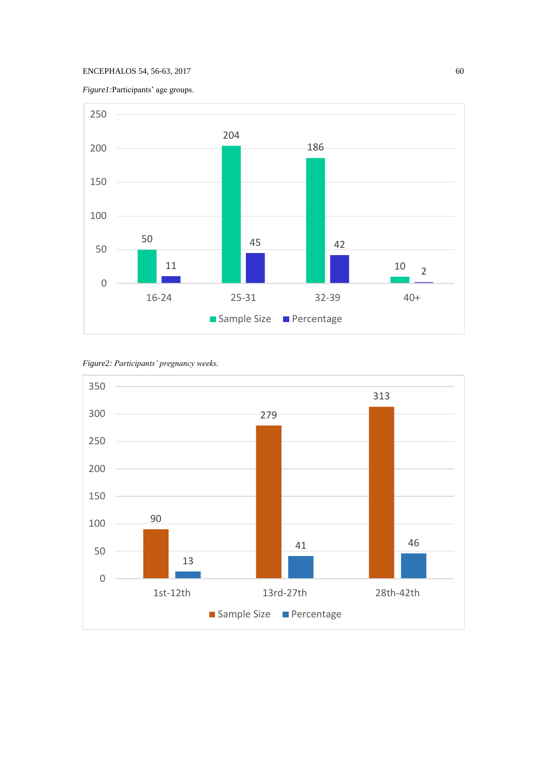# ENCEPHALOS 54, 56-63, 2017 60

*Figure1:*Participants' age groups.



*Figure2: Participants' pregnancy weeks.*

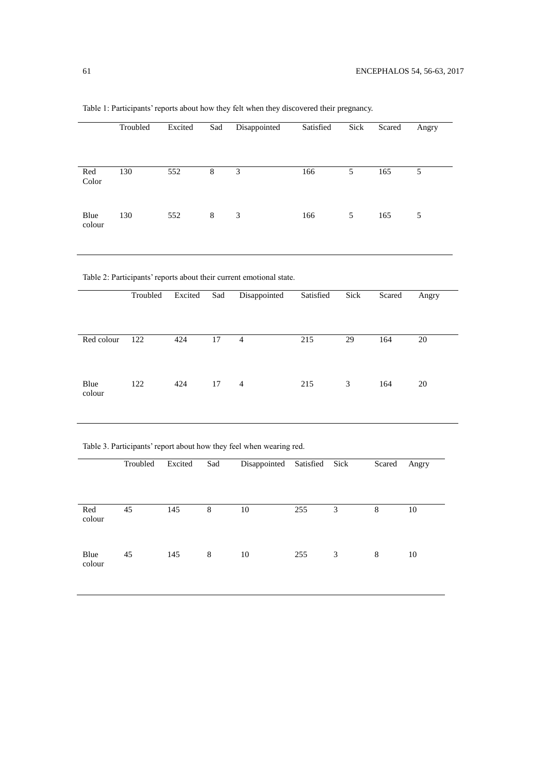|                                                                     | Troubled        | Excited          | Sad             | Disappointed    | Satisfied | Sick           | Scared         | Angry           |  |  |  |
|---------------------------------------------------------------------|-----------------|------------------|-----------------|-----------------|-----------|----------------|----------------|-----------------|--|--|--|
| Red<br>Color                                                        | 130             | 552              | $\overline{8}$  | $\overline{3}$  | 166       | $\overline{5}$ | 165            | $\overline{5}$  |  |  |  |
| Blue<br>colour                                                      | 130             | 552              | $\,8\,$         | $\mathfrak{Z}$  | 166       | 5              | 165            | $\sqrt{5}$      |  |  |  |
| Table 2: Participants' reports about their current emotional state. |                 |                  |                 |                 |           |                |                |                 |  |  |  |
|                                                                     | Troubled        | Excited          | Sad             | Disappointed    | Satisfied | Sick           | Scared         | Angry           |  |  |  |
| Red colour                                                          | 122             | 424              | $\overline{17}$ | $\overline{4}$  | 215       | 29             | 164            | $20\,$          |  |  |  |
| Blue<br>colour                                                      | 122             | 424              | 17              | $\overline{4}$  | 215       | $\mathfrak{Z}$ | 164            | 20              |  |  |  |
| Table 3. Participants' report about how they feel when wearing red. |                 |                  |                 |                 |           |                |                |                 |  |  |  |
|                                                                     | Troubled        | Excited          | Sad             | Disappointed    | Satisfied | Sick           | Scared         | Angry           |  |  |  |
| Red<br>colour                                                       | $\overline{45}$ | $\overline{145}$ | $\overline{8}$  | $\overline{10}$ | 255       | $\overline{3}$ | $\overline{8}$ | $\overline{10}$ |  |  |  |
| Blue<br>colour                                                      | 45              | 145              | $\,8\,$         | $10\,$          | 255       | $\mathfrak{Z}$ | $\,8$          | $10\,$          |  |  |  |

Table 1: Participants' reports about how they felt when they discovered their pregnancy.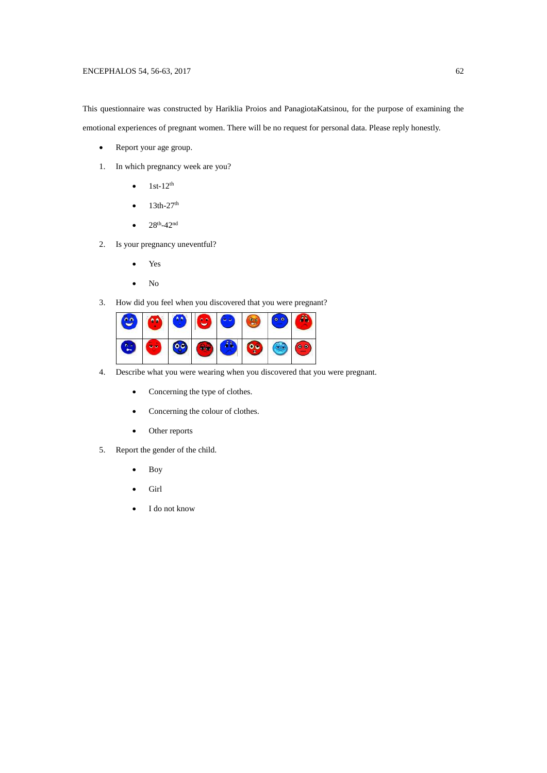## ENCEPHALOS 54, 56-63, 2017 62

This questionnaire was constructed by Hariklia Proios and PanagiotaKatsinou, for the purpose of examining the emotional experiences of pregnant women. There will be no request for personal data. Please reply honestly.

- Report your age group.
- 1. In which pregnancy week are you?
	- $1st-12^{th}$
	- $\bullet$  13th-27<sup>th</sup>
	- $28<sup>th</sup>-42<sup>nd</sup>$
- 2. Is your pregnancy uneventful?
	- Yes
	- No
- 3. How did you feel when you discovered that you were pregnant?



- 4. Describe what you were wearing when you discovered that you were pregnant.
	- Concerning the type of clothes.
	- Concerning the colour of clothes.
	- Other reports
- 5. Report the gender of the child.
	- Boy
	- Girl
	- I do not know